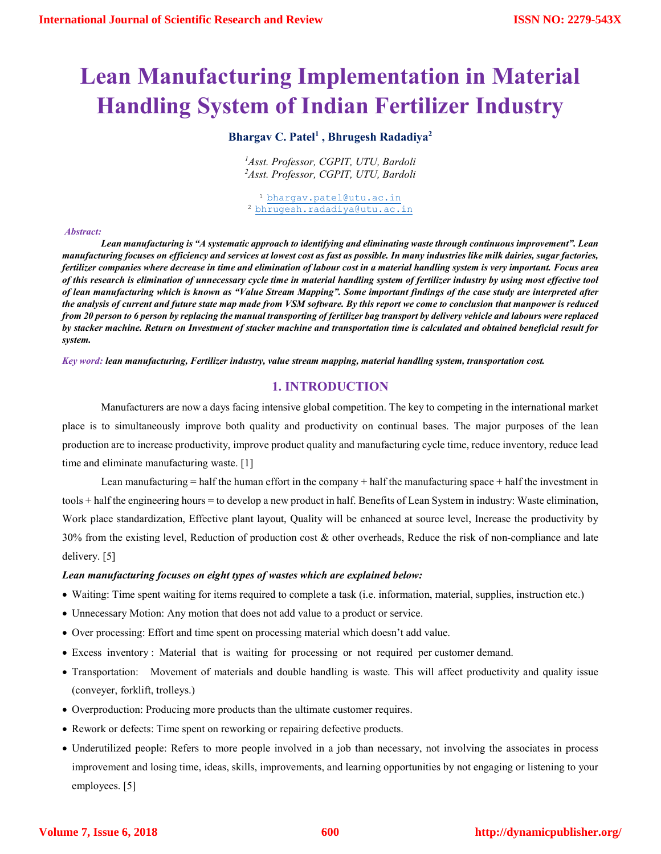# **Lean Manufacturing Implementation in Material Handling System of Indian Fertilizer Industry**

# **Bhargav C. Patel1 , Bhrugesh Radadiya2**

*1 Asst. Professor, CGPIT, UTU, Bardoli 2 Asst. Professor, CGPIT, UTU, Bardoli*

1 bhargav.patel@utu.ac.in 2 bhrugesh.radadiya@utu.ac.in

#### *Abstract:*

*Lean manufacturing is "A systematic approach to identifying and eliminating waste through continuous improvement". Lean manufacturing focuses on efficiency and services at lowest cost as fast as possible. In many industries like milk dairies, sugar factories, fertilizer companies where decrease in time and elimination of labour cost in a material handling system is very important. Focus area of this research is elimination of unnecessary cycle time in material handling system of fertilizer industry by using most effective tool of lean manufacturing which is known as "Value Stream Mapping". Some important findings of the case study are interpreted after the analysis of current and future state map made from VSM software. By this report we come to conclusion that manpower is reduced from 20 person to 6 person by replacing the manual transporting of fertilizer bag transport by delivery vehicle and labours were replaced by stacker machine. Return on Investment of stacker machine and transportation time is calculated and obtained beneficial result for system.*

*Key word: lean manufacturing, Fertilizer industry, value stream mapping, material handling system, transportation cost.*

# **1. INTRODUCTION**

Manufacturers are now a days facing intensive global competition. The key to competing in the international market place is to simultaneously improve both quality and productivity on continual bases. The major purposes of the lean production are to increase productivity, improve product quality and manufacturing cycle time, reduce inventory, reduce lead time and eliminate manufacturing waste. [1]

Lean manufacturing  $=$  half the human effort in the company  $+$  half the manufacturing space  $+$  half the investment in tools + half the engineering hours = to develop a new product in half. Benefits of Lean System in industry: Waste elimination, Work place standardization, Effective plant layout, Quality will be enhanced at source level, Increase the productivity by 30% from the existing level, Reduction of production cost & other overheads, Reduce the risk of non-compliance and late delivery. [5]

## *Lean manufacturing focuses on eight types of wastes which are explained below:*

- Waiting: Time spent waiting for items required to complete a task (i.e. information, material, supplies, instruction etc.)
- Unnecessary Motion: Any motion that does not add value to a product or service.
- Over processing: Effort and time spent on processing material which doesn't add value.
- Excess inventory : Material that is waiting for processing or not required per customer demand.
- Transportation: Movement of materials and double handling is waste. This will affect productivity and quality issue (conveyer, forklift, trolleys.)
- Overproduction: Producing more products than the ultimate customer requires.
- Rework or defects: Time spent on reworking or repairing defective products.
- Underutilized people: Refers to more people involved in a job than necessary, not involving the associates in process improvement and losing time, ideas, skills, improvements, and learning opportunities by not engaging or listening to your employees. [5]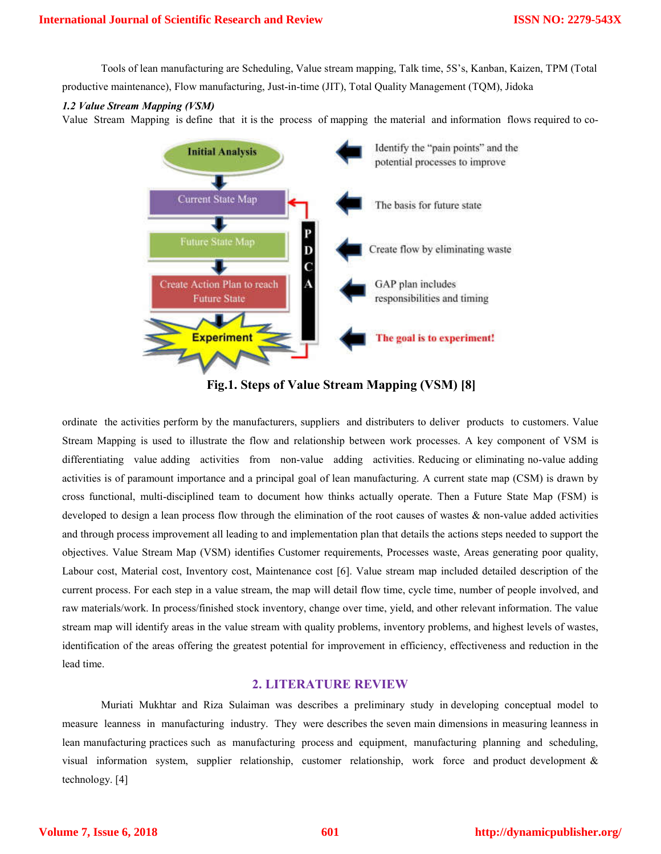Tools of lean manufacturing are Scheduling, Value stream mapping, Talk time, 5S's, Kanban, Kaizen, TPM (Total productive maintenance), Flow manufacturing, Just-in-time (JIT), Total Quality Management (TQM), Jidoka

## *1.2 Value Stream Mapping (VSM)*

Value Stream Mapping is define that it is the process of mapping the material and information flows required to co-



**Fig.1. Steps of Value Stream Mapping (VSM) [8]**

ordinate the activities perform by the manufacturers, suppliers and distributers to deliver products to customers. Value Stream Mapping is used to illustrate the flow and relationship between work processes. A key component of VSM is differentiating value adding activities from non-value adding activities. Reducing or eliminating no-value adding activities is of paramount importance and a principal goal of lean manufacturing. A current state map (CSM) is drawn by cross functional, multi-disciplined team to document how thinks actually operate. Then a Future State Map (FSM) is developed to design a lean process flow through the elimination of the root causes of wastes & non-value added activities and through process improvement all leading to and implementation plan that details the actions steps needed to support the objectives. Value Stream Map (VSM) identifies Customer requirements, Processes waste, Areas generating poor quality, Labour cost, Material cost, Inventory cost, Maintenance cost [6]. Value stream map included detailed description of the current process. For each step in a value stream, the map will detail flow time, cycle time, number of people involved, and raw materials/work. In process/finished stock inventory, change over time, yield, and other relevant information. The value stream map will identify areas in the value stream with quality problems, inventory problems, and highest levels of wastes, identification of the areas offering the greatest potential for improvement in efficiency, effectiveness and reduction in the lead time.

# **2. LITERATURE REVIEW**

Muriati Mukhtar and Riza Sulaiman was describes a preliminary study in developing conceptual model to measure leanness in manufacturing industry. They were describes the seven main dimensions in measuring leanness in lean manufacturing practices such as manufacturing process and equipment, manufacturing planning and scheduling, visual information system, supplier relationship, customer relationship, work force and product development & technology. [4]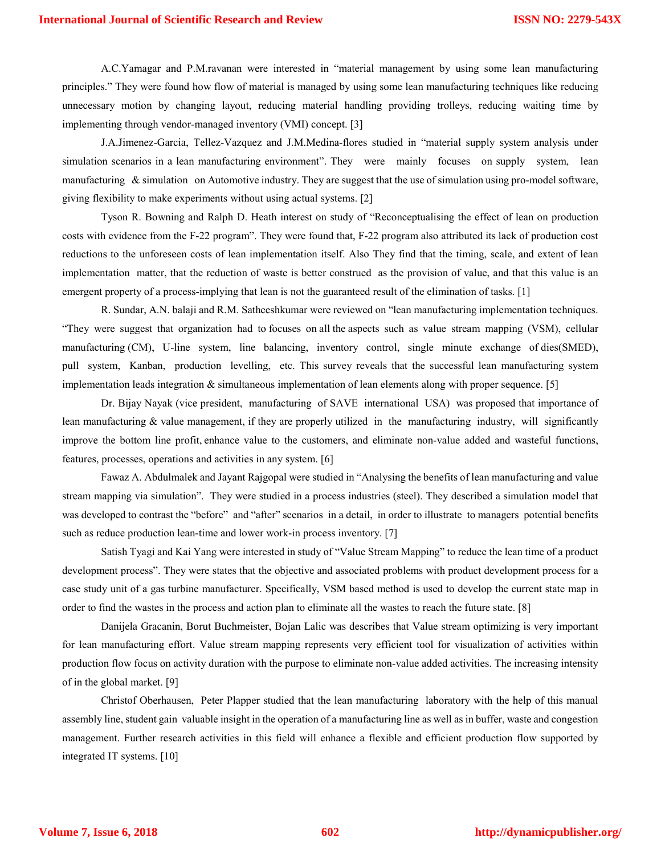A.C.Yamagar and P.M.ravanan were interested in "material management by using some lean manufacturing principles." They were found how flow of material is managed by using some lean manufacturing techniques like reducing unnecessary motion by changing layout, reducing material handling providing trolleys, reducing waiting time by implementing through vendor-managed inventory (VMI) concept. [3]

J.A.Jimenez-Garcia, Tellez-Vazquez and J.M.Medina-flores studied in "material supply system analysis under simulation scenarios in a lean manufacturing environment". They were mainly focuses on supply system, lean manufacturing & simulation on Automotive industry. They are suggest that the use of simulation using pro-model software, giving flexibility to make experiments without using actual systems. [2]

Tyson R. Bowning and Ralph D. Heath interest on study of "Reconceptualising the effect of lean on production costs with evidence from the F-22 program". They were found that, F-22 program also attributed its lack of production cost reductions to the unforeseen costs of lean implementation itself. Also They find that the timing, scale, and extent of lean implementation matter, that the reduction of waste is better construed as the provision of value, and that this value is an emergent property of a process-implying that lean is not the guaranteed result of the elimination of tasks. [1]

R. Sundar, A.N. balaji and R.M. Satheeshkumar were reviewed on "lean manufacturing implementation techniques. "They were suggest that organization had to focuses on all the aspects such as value stream mapping (VSM), cellular manufacturing (CM), U-line system, line balancing, inventory control, single minute exchange of dies(SMED), pull system, Kanban, production levelling, etc. This survey reveals that the successful lean manufacturing system implementation leads integration & simultaneous implementation of lean elements along with proper sequence. [5]

Dr. Bijay Nayak (vice president, manufacturing of SAVE international USA) was proposed that importance of lean manufacturing & value management, if they are properly utilized in the manufacturing industry, will significantly improve the bottom line profit, enhance value to the customers, and eliminate non-value added and wasteful functions, features, processes, operations and activities in any system. [6]

Fawaz A. Abdulmalek and Jayant Rajgopal were studied in "Analysing the benefits of lean manufacturing and value stream mapping via simulation". They were studied in a process industries (steel). They described a simulation model that was developed to contrast the "before" and "after" scenarios in a detail, in order to illustrate to managers potential benefits such as reduce production lean-time and lower work-in process inventory. [7]

Satish Tyagi and Kai Yang were interested in study of "Value Stream Mapping" to reduce the lean time of a product development process". They were states that the objective and associated problems with product development process for a case study unit of a gas turbine manufacturer. Specifically, VSM based method is used to develop the current state map in order to find the wastes in the process and action plan to eliminate all the wastes to reach the future state. [8]

Danijela Gracanin, Borut Buchmeister, Bojan Lalic was describes that Value stream optimizing is very important for lean manufacturing effort. Value stream mapping represents very efficient tool for visualization of activities within production flow focus on activity duration with the purpose to eliminate non-value added activities. The increasing intensity of in the global market. [9]

Christof Oberhausen, Peter Plapper studied that the lean manufacturing laboratory with the help of this manual assembly line, student gain valuable insight in the operation of a manufacturing line as well as in buffer, waste and congestion management. Further research activities in this field will enhance a flexible and efficient production flow supported by integrated IT systems. [10]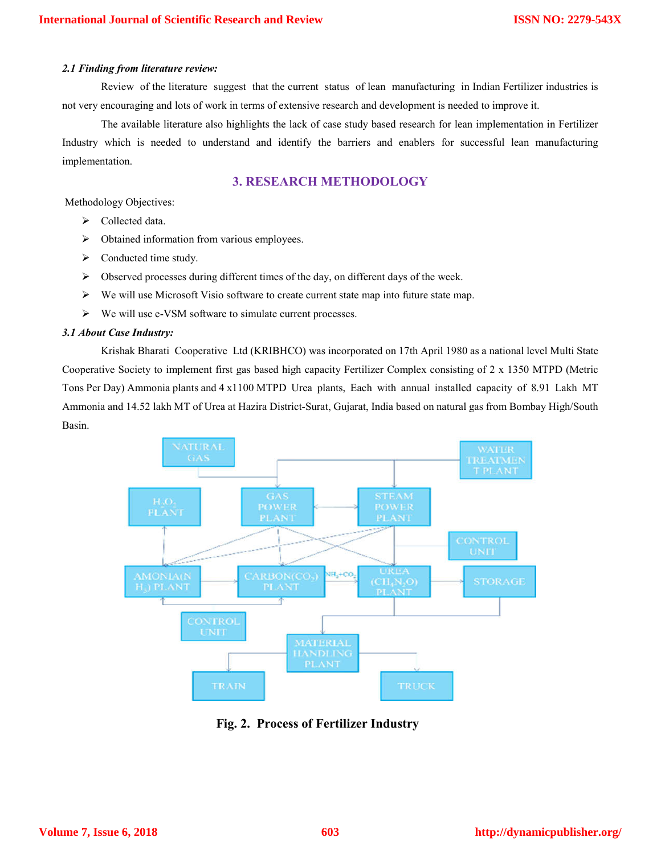## *2.1 Finding from literature review:*

Review of the literature suggest that the current status of lean manufacturing in Indian Fertilizer industries is not very encouraging and lots of work in terms of extensive research and development is needed to improve it.

The available literature also highlights the lack of case study based research for lean implementation in Fertilizer Industry which is needed to understand and identify the barriers and enablers for successful lean manufacturing implementation.

# **3. RESEARCH METHODOLOGY**

Methodology Objectives:

- $\triangleright$  Collected data.
- $\triangleright$  Obtained information from various employees.
- $\triangleright$  Conducted time study.
- $\triangleright$  Observed processes during different times of the day, on different days of the week.
- $\triangleright$  We will use Microsoft Visio software to create current state map into future state map.
- $\triangleright$  We will use e-VSM software to simulate current processes.

## *3.1 About Case Industry:*

Krishak Bharati Cooperative Ltd (KRIBHCO) was incorporated on 17th April 1980 as a national level Multi State Cooperative Society to implement first gas based high capacity Fertilizer Complex consisting of 2 x 1350 MTPD (Metric Tons Per Day) Ammonia plants and 4 x1100 MTPD Urea plants, Each with annual installed capacity of 8.91 Lakh MT Ammonia and 14.52 lakh MT of Urea at Hazira District-Surat, Gujarat, India based on natural gas from Bombay High/South Basin.



**Fig. 2. Process of Fertilizer Industry**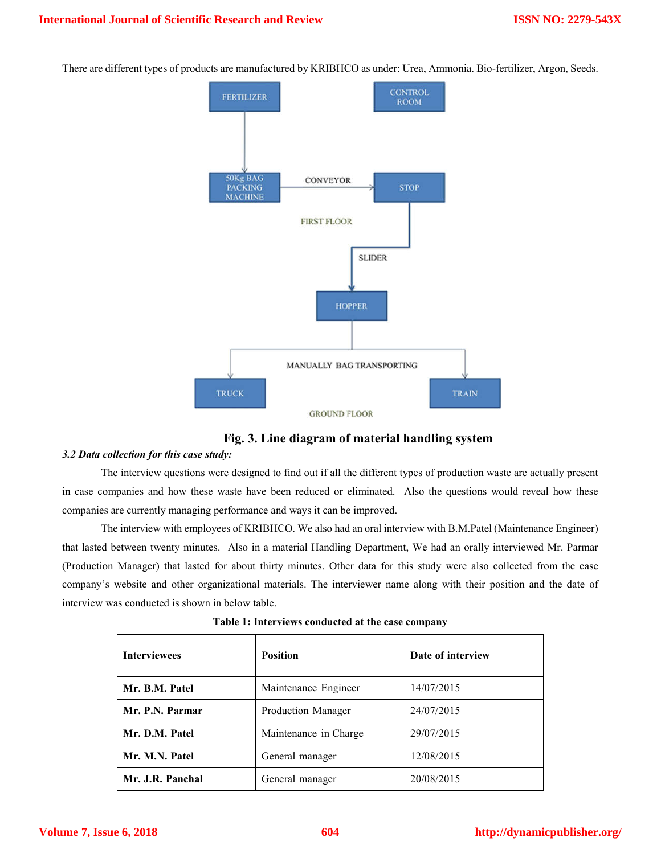There are different types of products are manufactured by KRIBHCO as under: Urea, Ammonia. Bio-fertilizer, Argon, Seeds.



# **Fig. 3. Line diagram of material handling system**

## *3.2 Data collection for this case study:*

The interview questions were designed to find out if all the different types of production waste are actually present in case companies and how these waste have been reduced or eliminated. Also the questions would reveal how these companies are currently managing performance and ways it can be improved.

The interview with employees of KRIBHCO. We also had an oral interview with B.M.Patel (Maintenance Engineer) that lasted between twenty minutes. Also in a material Handling Department, We had an orally interviewed Mr. Parmar (Production Manager) that lasted for about thirty minutes. Other data for this study were also collected from the case company's website and other organizational materials. The interviewer name along with their position and the date of interview was conducted is shown in below table.

| <b>Interviewees</b> | <b>Position</b>       | Date of interview |  |
|---------------------|-----------------------|-------------------|--|
| Mr. B.M. Patel      | Maintenance Engineer  | 14/07/2015        |  |
| Mr. P.N. Parmar     | Production Manager    | 24/07/2015        |  |
| Mr. D.M. Patel      | Maintenance in Charge | 29/07/2015        |  |
| Mr. M.N. Patel      | General manager       | 12/08/2015        |  |
| Mr. J.R. Panchal    | General manager       | 20/08/2015        |  |

**Table 1: Interviews conducted at the case company**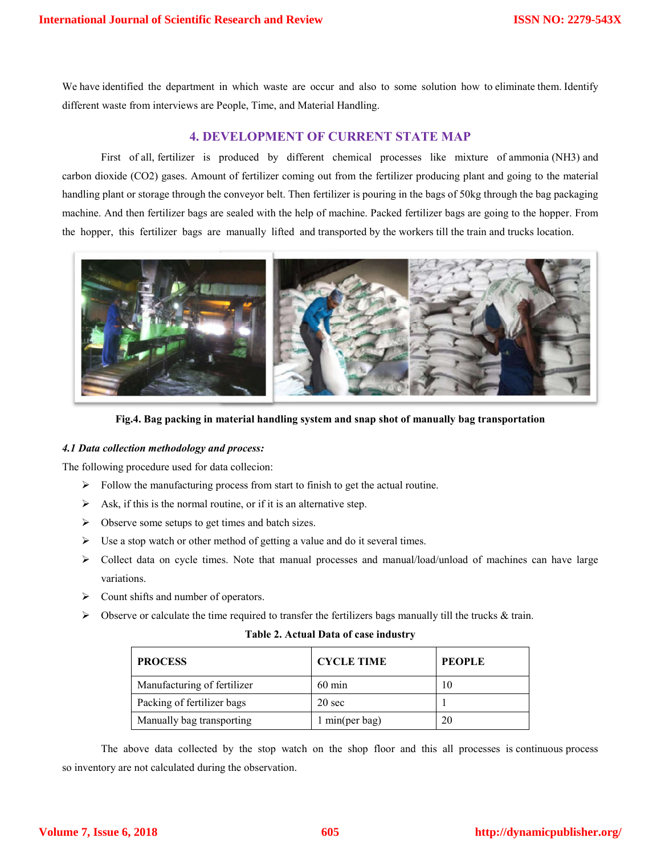We have identified the department in which waste are occur and also to some solution how to eliminate them. Identify different waste from interviews are People, Time, and Material Handling.

# **4. DEVELOPMENT OF CURRENT STATE MAP**

First of all, fertilizer is produced by different chemical processes like mixture of ammonia (NH3) and carbon dioxide (CO2) gases. Amount of fertilizer coming out from the fertilizer producing plant and going to the material handling plant or storage through the conveyor belt. Then fertilizer is pouring in the bags of 50kg through the bag packaging machine. And then fertilizer bags are sealed with the help of machine. Packed fertilizer bags are going to the hopper. From the hopper, this fertilizer bags are manually lifted and transported by the workers till the train and trucks location.



**Fig.4. Bag packing in material handling system and snap shot of manually bag transportation**

#### *4.1 Data collection methodology and process:*

The following procedure used for data collecion:

- $\triangleright$  Follow the manufacturing process from start to finish to get the actual routine.
- $\triangleright$  Ask, if this is the normal routine, or if it is an alternative step.
- $\triangleright$  Observe some setups to get times and batch sizes.
- $\triangleright$  Use a stop watch or other method of getting a value and do it several times.
- $\triangleright$  Collect data on cycle times. Note that manual processes and manual/load/unload of machines can have large variations.
- $\triangleright$  Count shifts and number of operators.
- $\triangleright$  Observe or calculate the time required to transfer the fertilizers bags manually till the trucks & train.

| Table 2. Actual Data of case industry |  |
|---------------------------------------|--|
|---------------------------------------|--|

| <b>PROCESS</b>              | <b>CYCLE TIME</b> | <b>PEOPLE</b> |
|-----------------------------|-------------------|---------------|
| Manufacturing of fertilizer | $60 \text{ min}$  |               |
| Packing of fertilizer bags  | $20 \text{ sec}$  |               |
| Manually bag transporting   | 1 min(per bag)    |               |

The above data collected by the stop watch on the shop floor and this all processes is continuous process so inventory are not calculated during the observation.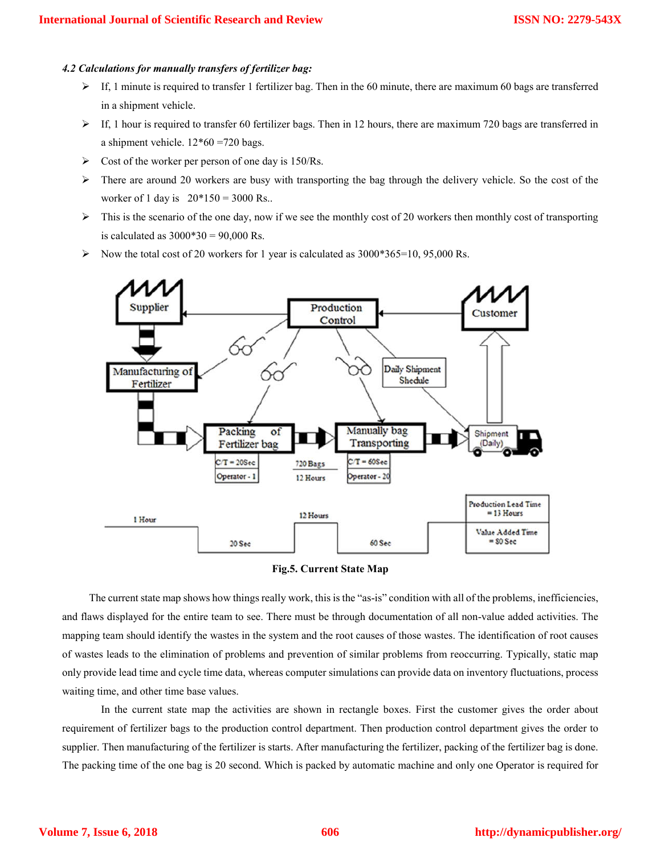#### *4.2 Calculations for manually transfers of fertilizer bag:*

- $\triangleright$  If, 1 minute is required to transfer 1 fertilizer bag. Then in the 60 minute, there are maximum 60 bags are transferred in a shipment vehicle.
- $\triangleright$  If, 1 hour is required to transfer 60 fertilizer bags. Then in 12 hours, there are maximum 720 bags are transferred in a shipment vehicle. 12\*60 =720 bags.
- $\triangleright$  Cost of the worker per person of one day is 150/Rs.
- $\triangleright$  There are around 20 workers are busy with transporting the bag through the delivery vehicle. So the cost of the worker of 1 day is  $20*150 = 3000$  Rs..
- $\triangleright$  This is the scenario of the one day, now if we see the monthly cost of 20 workers then monthly cost of transporting is calculated as  $3000*30 = 90,000$  Rs.
- Now the total cost of 20 workers for 1 year is calculated as  $3000*365=10, 95,000$  Rs.



#### **Fig.5. Current State Map**

 The current state map shows how things really work, this is the "as-is" condition with all of the problems, inefficiencies, and flaws displayed for the entire team to see. There must be through documentation of all non-value added activities. The mapping team should identify the wastes in the system and the root causes of those wastes. The identification of root causes of wastes leads to the elimination of problems and prevention of similar problems from reoccurring. Typically, static map only provide lead time and cycle time data, whereas computer simulations can provide data on inventory fluctuations, process waiting time, and other time base values.

In the current state map the activities are shown in rectangle boxes. First the customer gives the order about requirement of fertilizer bags to the production control department. Then production control department gives the order to supplier. Then manufacturing of the fertilizer is starts. After manufacturing the fertilizer, packing of the fertilizer bag is done. The packing time of the one bag is 20 second. Which is packed by automatic machine and only one Operator is required for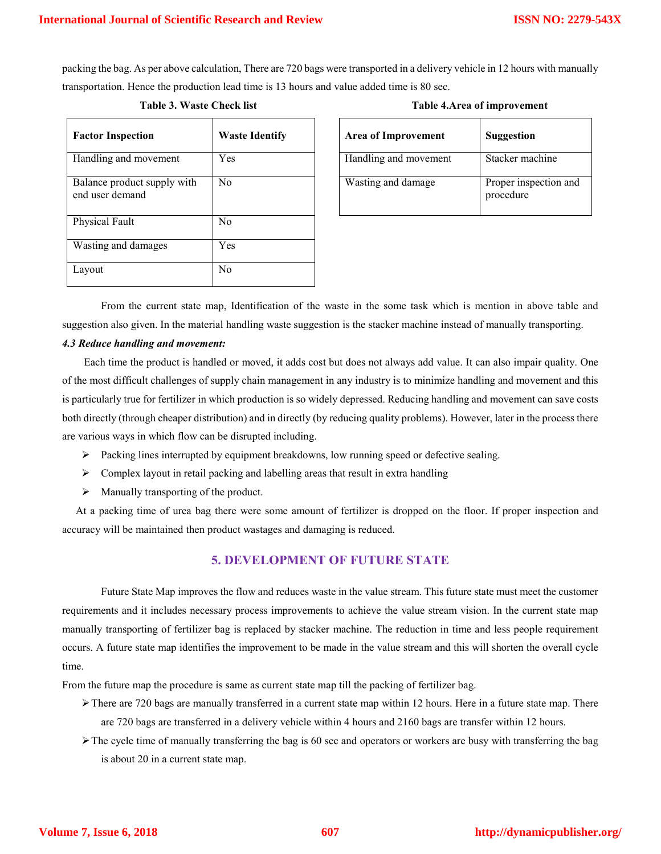packing the bag. As per above calculation, There are 720 bags were transported in a delivery vehicle in 12 hours with manually transportation. Hence the production lead time is 13 hours and value added time is 80 sec.

# **Table 3. Waste Check list**

| <b>Table 4. Area of improvement</b> |  |
|-------------------------------------|--|
|-------------------------------------|--|

| <b>Factor Inspection</b>                       | <b>Waste Identify</b> | <b>Area of Improvement</b> | <b>Suggestion</b>             |
|------------------------------------------------|-----------------------|----------------------------|-------------------------------|
| Handling and movement                          | <b>Yes</b>            | Handling and movement      | Stacker machine               |
| Balance product supply with<br>end user demand | N <sub>0</sub>        | Wasting and damage         | Proper inspectio<br>procedure |
| Physical Fault                                 | N <sub>o</sub>        |                            |                               |
| Wasting and damages                            | <b>Yes</b>            |                            |                               |
| Layout                                         | N <sub>o</sub>        |                            |                               |

| <b>Waste Identify</b> |  | <b>Area of Improvement</b> | Suggestion                         |  |
|-----------------------|--|----------------------------|------------------------------------|--|
| Yes                   |  | Handling and movement      | Stacker machine                    |  |
| No                    |  | Wasting and damage         | Proper inspection and<br>procedure |  |

From the current state map, Identification of the waste in the some task which is mention in above table and suggestion also given. In the material handling waste suggestion is the stacker machine instead of manually transporting.

## *4.3 Reduce handling and movement:*

 Each time the product is handled or moved, it adds cost but does not always add value. It can also impair quality. One of the most difficult challenges of supply chain management in any industry is to minimize handling and movement and this is particularly true for fertilizer in which production is so widely depressed. Reducing handling and movement can save costs both directly (through cheaper distribution) and in directly (by reducing quality problems). However, later in the process there are various ways in which flow can be disrupted including.

- $\triangleright$  Packing lines interrupted by equipment breakdowns, low running speed or defective sealing.
- $\triangleright$  Complex layout in retail packing and labelling areas that result in extra handling
- $\triangleright$  Manually transporting of the product.

 At a packing time of urea bag there were some amount of fertilizer is dropped on the floor. If proper inspection and accuracy will be maintained then product wastages and damaging is reduced.

# **5. DEVELOPMENT OF FUTURE STATE**

Future State Map improves the flow and reduces waste in the value stream. This future state must meet the customer requirements and it includes necessary process improvements to achieve the value stream vision. In the current state map manually transporting of fertilizer bag is replaced by stacker machine. The reduction in time and less people requirement occurs. A future state map identifies the improvement to be made in the value stream and this will shorten the overall cycle time.

From the future map the procedure is same as current state map till the packing of fertilizer bag.

- $\triangleright$  There are 720 bags are manually transferred in a current state map within 12 hours. Here in a future state map. There are 720 bags are transferred in a delivery vehicle within 4 hours and 2160 bags are transfer within 12 hours.
- $\triangleright$  The cycle time of manually transferring the bag is 60 sec and operators or workers are busy with transferring the bag is about 20 in a current state map.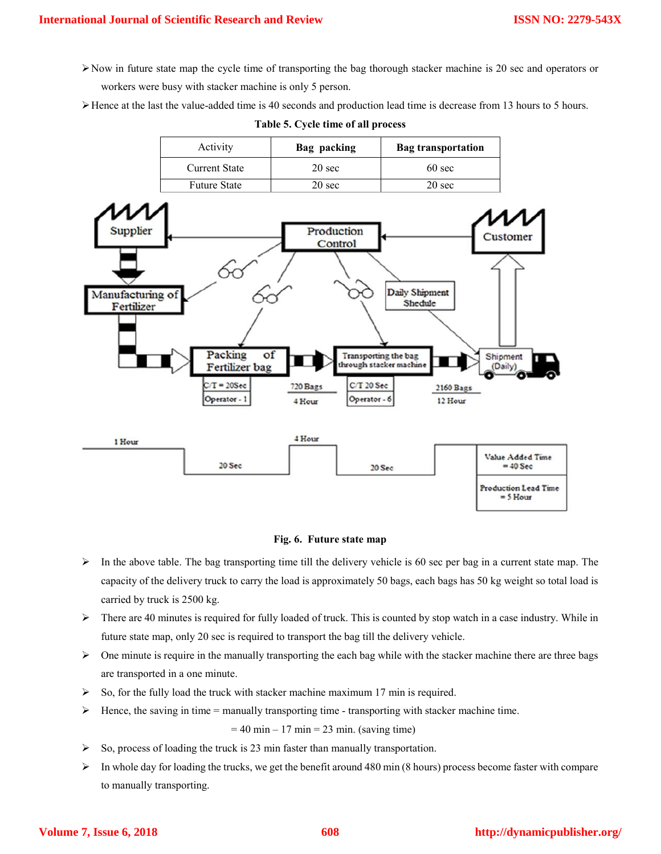- $\triangleright$  Now in future state map the cycle time of transporting the bag thorough stacker machine is 20 sec and operators or workers were busy with stacker machine is only 5 person.
- Hence at the last the value-added time is 40 seconds and production lead time is decrease from 13 hours to 5 hours.

|  |  |  |  |  | Table 5. Cycle time of all process |
|--|--|--|--|--|------------------------------------|
|--|--|--|--|--|------------------------------------|



## **Fig. 6. Future state map**

- $\triangleright$  In the above table. The bag transporting time till the delivery vehicle is 60 sec per bag in a current state map. The capacity of the delivery truck to carry the load is approximately 50 bags, each bags has 50 kg weight so total load is carried by truck is 2500 kg.
- $\triangleright$  There are 40 minutes is required for fully loaded of truck. This is counted by stop watch in a case industry. While in future state map, only 20 sec is required to transport the bag till the delivery vehicle.
- $\triangleright$  One minute is require in the manually transporting the each bag while with the stacker machine there are three bags are transported in a one minute.
- $\triangleright$  So, for the fully load the truck with stacker machine maximum 17 min is required.
- $\triangleright$  Hence, the saving in time = manually transporting time transporting with stacker machine time.

 $= 40$  min – 17 min = 23 min. (saving time)

- $\triangleright$  So, process of loading the truck is 23 min faster than manually transportation.
- $\triangleright$  In whole day for loading the trucks, we get the benefit around 480 min (8 hours) process become faster with compare to manually transporting.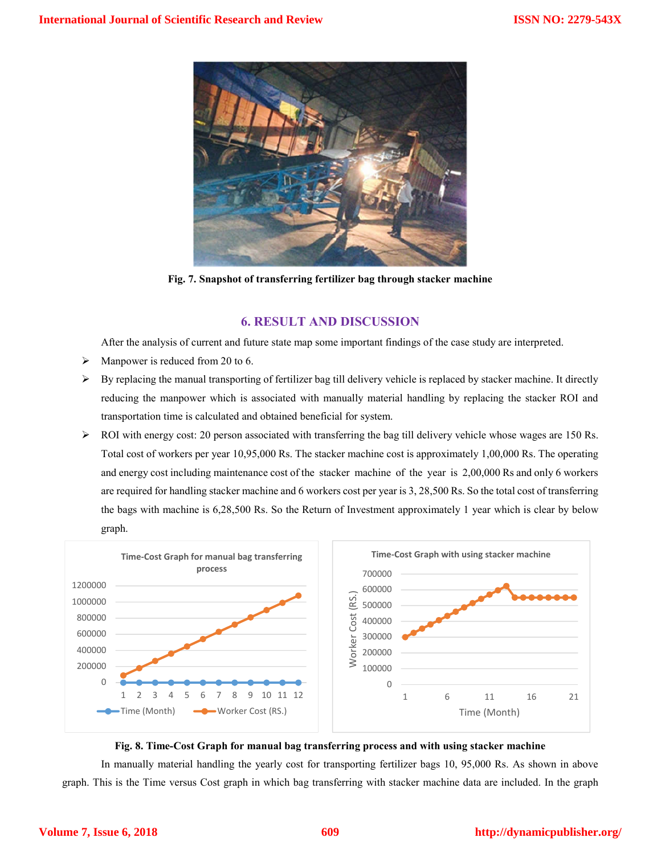

**Fig. 7. Snapshot of transferring fertilizer bag through stacker machine**

# **6. RESULT AND DISCUSSION**

After the analysis of current and future state map some important findings of the case study are interpreted.

- $\triangleright$  Manpower is reduced from 20 to 6.
- $\triangleright$  By replacing the manual transporting of fertilizer bag till delivery vehicle is replaced by stacker machine. It directly reducing the manpower which is associated with manually material handling by replacing the stacker ROI and transportation time is calculated and obtained beneficial for system.
- $\triangleright$  ROI with energy cost: 20 person associated with transferring the bag till delivery vehicle whose wages are 150 Rs. Total cost of workers per year 10,95,000 Rs. The stacker machine cost is approximately 1,00,000 Rs. The operating and energy cost including maintenance cost of the stacker machine of the year is 2,00,000 Rs and only 6 workers are required for handling stacker machine and 6 workers cost per year is 3, 28,500 Rs. So the total cost of transferring the bags with machine is 6,28,500 Rs. So the Return of Investment approximately 1 year which is clear by below graph.



## **Fig. 8. Time-Cost Graph for manual bag transferring process and with using stacker machine**

In manually material handling the yearly cost for transporting fertilizer bags 10, 95,000 Rs. As shown in above graph. This is the Time versus Cost graph in which bag transferring with stacker machine data are included. In the graph